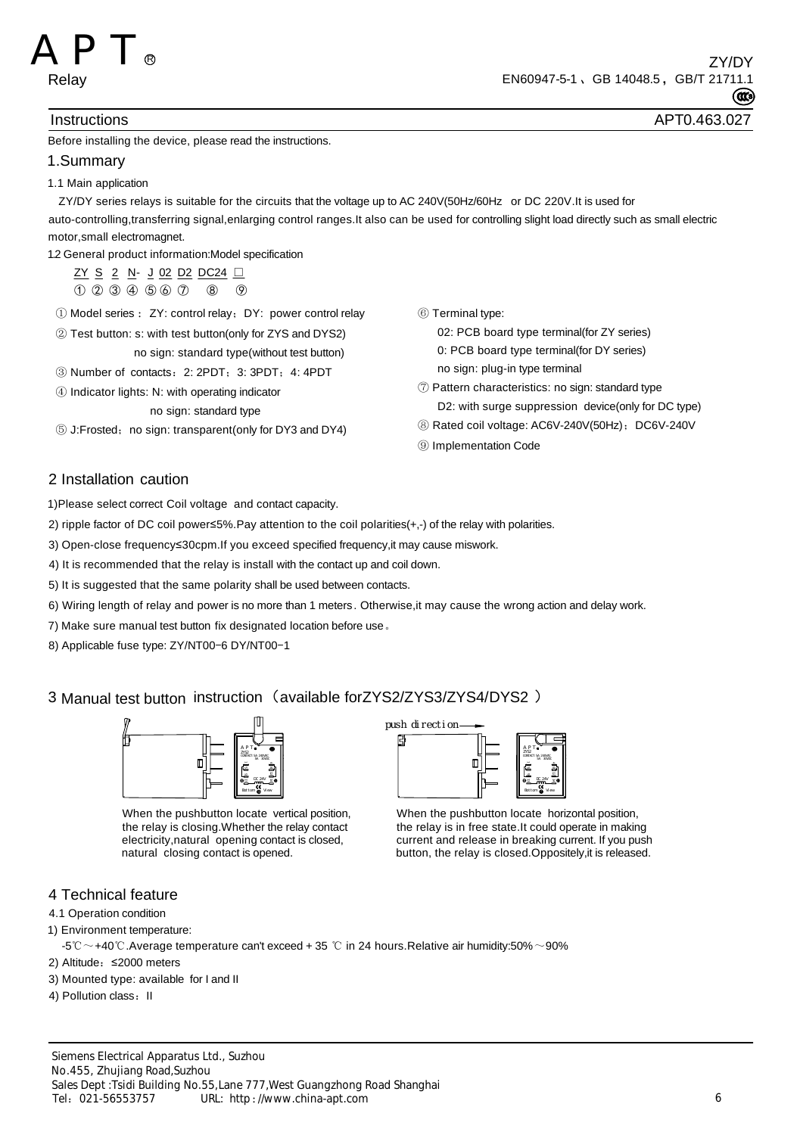

### Instructions APT0.463.027

### Before installing the device, please read the instructions.

#### 1.Summary

1.1 Main application

 ZY/DY series relays is suitable for the circuits that the voltage up to AC 240V(50Hz/60Hz or DC 220V.It is used for auto-controlling,transferring signal,enlarging control ranges.It also can be used for controlling slight load directly such as small electric motor,small electromagnet.

1.2 General product information:Model specification

ZY S 2 N - J 02 D2 DC24 □ ① ② ③ ④ ⑤ ⑥ ⑦ ⑧ ⑨

- ① Model series : ZY: control relay;DY: power control relay
- ② Test button: s: with test button(only for ZYS and DYS2) no sign: standard type(without test button)
- ③ Number of contacts:2: 2PDT;3: 3PDT;4: 4PDT
- ④ Indicator lights: N: with operating indicator

#### no sign: standard type

⑤ J:Frosted;no sign: transparent(only for DY3 and DY4)

⑥ Terminal type:

 02: PCB board type terminal(for ZY series) 0: PCB board type terminal(for DY series) no sign: plug-in type terminal

- ⑦ Pattern characteristics: no sign: standard type D2: with surge suppression device(only for DC type)
- ⑧ Rated coil voltage: AC6V-240V(50Hz);DC6V-240V
- ⑨ Implementation Code

## 2 Installation caution

1)Please select correct Coil voltage and contact capacity.

2) ripple factor of DC coil power≤5%.Pay attention to the coil polarities(+,-) of the relay with polarities.

- 3) Open-close frequency≤30cpm.If you exceed specified frequency,it may cause miswork.
- 4) It is recommended that the relay is install with the contact up and coil down.
- 5) It is suggested that the same polarity shall be used between contacts.
- 6) Wiring length of relay and power is no more than 1 meters. Otherwise,it may cause the wrong action and delay work.
- 7) Make sure manual test button fix designated location before use。
- 8) Applicable fuse type: ZY/NT00-6 DY/NT00-1

# 3 Manual test button instruction (available forZYS2/ZYS3/ZYS4/DYS2)



When the pushbutton locate vertical position. the relay is closing.Whether the relay contact electricity,natural opening contact is closed, natural closing contact is opened.



When the pushbutton locate horizontal position, the relay is in free state.It could operate in making current and release in breaking current. If you push button, the relay is closed.Oppositely,it is released.

## 4 Technical feature

- 4.1 Operation condition
- 1) Environment temperature:
- -5℃ ~ +40 ℃.Average temperature can't exceed + 35 ℃ in 24 hours.Relative air humidity:50% ~ 90%
- 2) Altitude: ≤2000 meters
- 3) Mounted type: available for I and II
- 4) Pollution class: II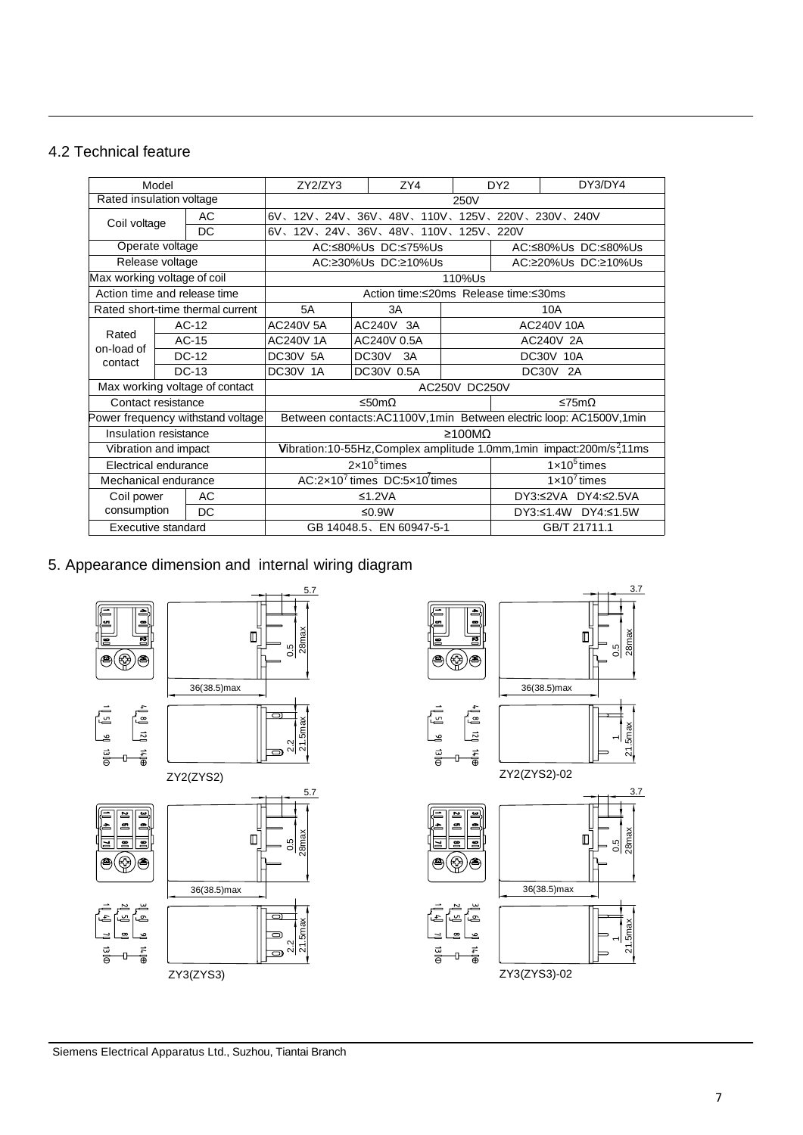# 4.2 Technical feature

| Model                             |         |                                             | ZY2/ZY3                                                                            |  | ZY4                 | DY <sub>2</sub>     |                       | DY3/DY4 |  |
|-----------------------------------|---------|---------------------------------------------|------------------------------------------------------------------------------------|--|---------------------|---------------------|-----------------------|---------|--|
| Rated insulation voltage          |         |                                             | 250V                                                                               |  |                     |                     |                       |         |  |
| AC<br>Coil voltage<br>DC          |         | 6V、12V、24V、36V、48V、110V、125V、220V、230V、240V |                                                                                    |  |                     |                     |                       |         |  |
|                                   |         |                                             | 6V、12V、24V、36V、48V、110V、125V、220V                                                  |  |                     |                     |                       |         |  |
| Operate voltage                   |         |                                             |                                                                                    |  | AC:≤80%Us DC:≤75%Us | AC:≤80%Us DC:≤80%Us |                       |         |  |
| Release voltage                   |         |                                             |                                                                                    |  | AC:≥30%Us DC:≥10%Us | AC:≥20%Us DC:≥10%Us |                       |         |  |
| Max working voltage of coil       |         |                                             | 110%Us                                                                             |  |                     |                     |                       |         |  |
| Action time and release time      |         |                                             | Action time:≤20ms Release time:≤30ms                                               |  |                     |                     |                       |         |  |
| Rated short-time thermal current  |         |                                             | <b>5A</b>                                                                          |  | 3A                  |                     | 10A                   |         |  |
| Rated<br>on-load of<br>contact    | $AC-12$ |                                             | <b>AC240V 5A</b>                                                                   |  | AC240V<br>3A        |                     | AC240V 10A            |         |  |
|                                   | $AC-15$ |                                             | <b>AC240V1A</b>                                                                    |  | AC240V 0.5A         |                     | <b>AC240V 2A</b>      |         |  |
|                                   | DC-12   |                                             | <b>DC30V 5A</b>                                                                    |  | DC30V<br>3A         |                     | <b>DC30V 10A</b>      |         |  |
|                                   | $DC-13$ |                                             | <b>DC30V 1A</b>                                                                    |  | DC30V 0.5A          |                     | DC30V<br>2A           |         |  |
| Max working voltage of contact    |         |                                             | <b>AC250V DC250V</b>                                                               |  |                     |                     |                       |         |  |
| Contact resistance                |         |                                             | ≤50mΩ                                                                              |  |                     |                     | ≤75mΩ                 |         |  |
| Power frequency withstand voltage |         |                                             | Between contacts: AC1100V, 1 min Between electric loop: AC1500V, 1 min             |  |                     |                     |                       |         |  |
| Insulation resistance             |         |                                             | ≥100MΩ                                                                             |  |                     |                     |                       |         |  |
| Vibration and impact              |         |                                             | Vibration:10-55Hz, Complex amplitude 1.0mm, 1min impact:200m/s <sup>2</sup> , 11ms |  |                     |                     |                       |         |  |
| Electrical endurance              |         |                                             | $2\times10^5$ times                                                                |  |                     |                     | $1 \times 10^5$ times |         |  |
| Mechanical endurance              |         |                                             | AC: $2 \times 10^7$ times DC: $5 \times 10^7$ times                                |  |                     |                     | $1 \times 10^7$ times |         |  |
| Coil power                        |         | AC                                          | ≤1.2 $VA$                                                                          |  |                     |                     | DY3:≤2VA DY4:≤2.5VA   |         |  |
| consumption                       |         | DC                                          |                                                                                    |  | ≤0.9W               |                     | DY3:≤1.4W DY4:≤1.5W   |         |  |
| Executive standard                |         |                                             | GB 14048.5 EN 60947-5-1                                                            |  |                     |                     | GB/T 21711.1          |         |  |

# 5. Appearance dimension and internal wiring diagram

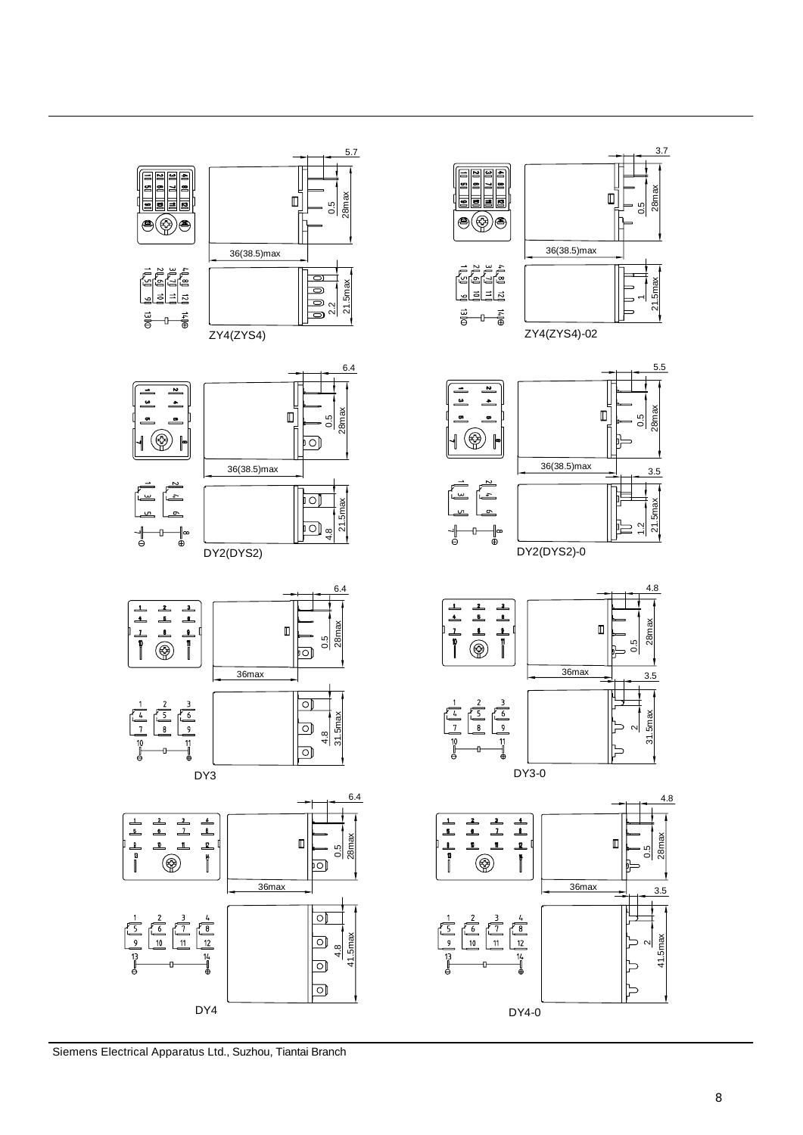

Siemens Electrical Apparatus Ltd., Suzhou, Tiantai Branch